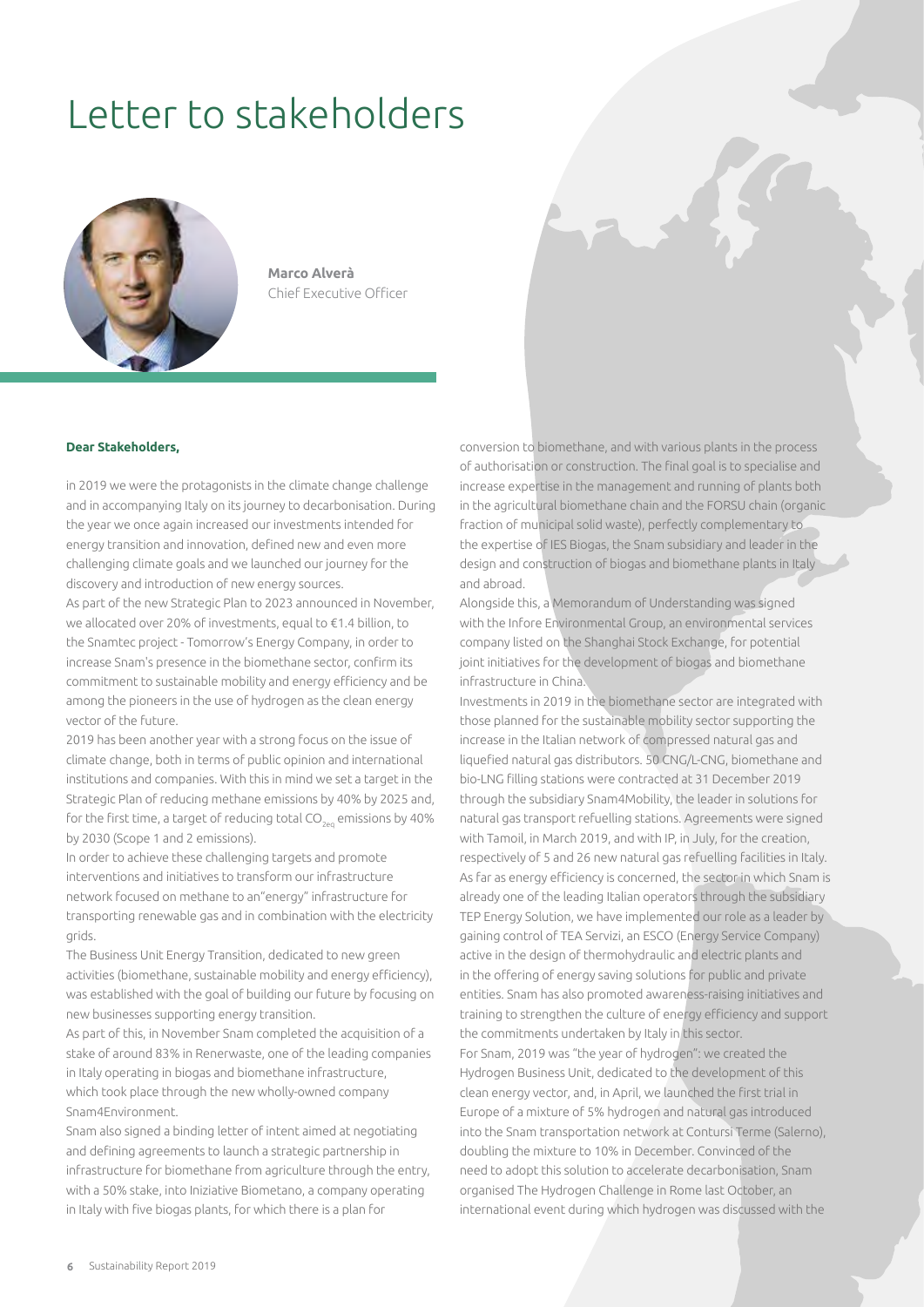## Letter to stakeholders



**Marco Alverà** Chief Executive Officer

## **Dear Stakeholders,**

in 2019 we were the protagonists in the climate change challenge and in accompanying Italy on its journey to decarbonisation. During the year we once again increased our investments intended for energy transition and innovation, defined new and even more challenging climate goals and we launched our journey for the discovery and introduction of new energy sources.

As part of the new Strategic Plan to 2023 announced in November, we allocated over 20% of investments, equal to €1.4 billion, to the Snamtec project - Tomorrow's Energy Company, in order to increase Snam's presence in the biomethane sector, confirm its commitment to sustainable mobility and energy efficiency and be among the pioneers in the use of hydrogen as the clean energy vector of the future.

2019 has been another year with a strong focus on the issue of climate change, both in terms of public opinion and international institutions and companies. With this in mind we set a target in the Strategic Plan of reducing methane emissions by 40% by 2025 and, for the first time, a target of reducing total  $CO_{200}$  emissions by 40% by 2030 (Scope 1 and 2 emissions).

In order to achieve these challenging targets and promote interventions and initiatives to transform our infrastructure network focused on methane to an"energy" infrastructure for transporting renewable gas and in combination with the electricity grids.

The Business Unit Energy Transition, dedicated to new green activities (biomethane, sustainable mobility and energy efficiency), was established with the goal of building our future by focusing on new businesses supporting energy transition.

As part of this, in November Snam completed the acquisition of a stake of around 83% in Renerwaste, one of the leading companies in Italy operating in biogas and biomethane infrastructure, which took place through the new wholly-owned company Snam4Environment.

Snam also signed a binding letter of intent aimed at negotiating and defining agreements to launch a strategic partnership in infrastructure for biomethane from agriculture through the entry, with a 50% stake, into Iniziative Biometano, a company operating in Italy with five biogas plants, for which there is a plan for

conversion to biomethane, and with various plants in the process of authorisation or construction. The final goal is to specialise and increase expertise in the management and running of plants both in the agricultural biomethane chain and the FORSU chain (organic fraction of municipal solid waste), perfectly complementary to the expertise of IES Biogas, the Snam subsidiary and leader in the design and construction of biogas and biomethane plants in Italy and abroad.

Alongside this, a Memorandum of Understanding was signed with the Infore Environmental Group, an environmental services company listed on the Shanghai Stock Exchange, for potential joint initiatives for the development of biogas and biomethane infrastructure in China.

Investments in 2019 in the biomethane sector are integrated with those planned for the sustainable mobility sector supporting the increase in the Italian network of compressed natural gas and liquefied natural gas distributors. 50 CNG/L-CNG, biomethane and bio-LNG filling stations were contracted at 31 December 2019 through the subsidiary Snam4Mobility, the leader in solutions for natural gas transport refuelling stations. Agreements were signed with Tamoil, in March 2019, and with IP, in July, for the creation, respectively of 5 and 26 new natural gas refuelling facilities in Italy. As far as energy efficiency is concerned, the sector in which Snam is already one of the leading Italian operators through the subsidiary TEP Energy Solution, we have implemented our role as a leader by gaining control of TEA Servizi, an ESCO (Energy Service Company) active in the design of thermohydraulic and electric plants and in the offering of energy saving solutions for public and private entities. Snam has also promoted awareness-raising initiatives and training to strengthen the culture of energy efficiency and support the commitments undertaken by Italy in this sector. For Snam, 2019 was "the year of hydrogen": we created the Hydrogen Business Unit, dedicated to the development of this clean energy vector, and, in April, we launched the first trial in Europe of a mixture of 5% hydrogen and natural gas introduced into the Snam transportation network at Contursi Terme (Salerno), doubling the mixture to 10% in December. Convinced of the need to adopt this solution to accelerate decarbonisation, Snam organised The Hydrogen Challenge in Rome last October, an international event during which hydrogen was discussed with the